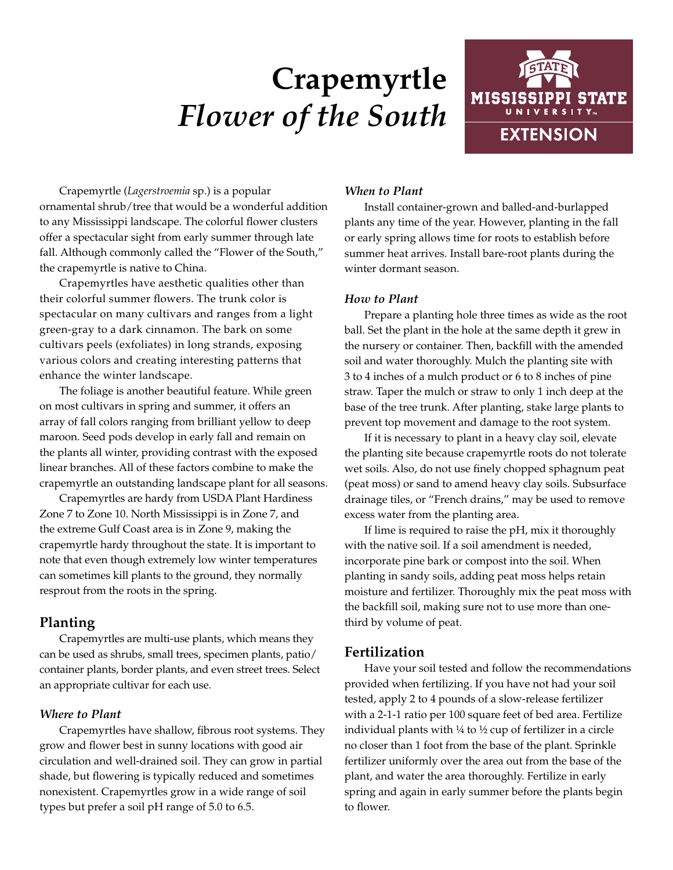# **Crapemyrtle**  *Flower of the South*



Crapemyrtle (*Lagerstroemia* sp.) is a popular ornamental shrub/tree that would be a wonderful addition to any Mississippi landscape. The colorful flower clusters offer a spectacular sight from early summer through late fall. Although commonly called the "Flower of the South," the crapemyrtle is native to China.

Crapemyrtles have aesthetic qualities other than their colorful summer flowers. The trunk color is spectacular on many cultivars and ranges from a light green-gray to a dark cinnamon. The bark on some cultivars peels (exfoliates) in long strands, exposing various colors and creating interesting patterns that enhance the winter landscape.

The foliage is another beautiful feature. While green on most cultivars in spring and summer, it offers an array of fall colors ranging from brilliant yellow to deep maroon. Seed pods develop in early fall and remain on the plants all winter, providing contrast with the exposed linear branches. All of these factors combine to make the crapemyrtle an outstanding landscape plant for all seasons.

Crapemyrtles are hardy from USDA Plant Hardiness Zone 7 to Zone 10. North Mississippi is in Zone 7, and the extreme Gulf Coast area is in Zone 9, making the crapemyrtle hardy throughout the state. It is important to note that even though extremely low winter temperatures can sometimes kill plants to the ground, they normally resprout from the roots in the spring.

# **Planting**

Crapemyrtles are multi-use plants, which means they can be used as shrubs, small trees, specimen plants, patio/ container plants, border plants, and even street trees. Select an appropriate cultivar for each use.

### *Where to Plant*

Crapemyrtles have shallow, fibrous root systems. They grow and flower best in sunny locations with good air circulation and well-drained soil. They can grow in partial shade, but flowering is typically reduced and sometimes nonexistent. Crapemyrtles grow in a wide range of soil types but prefer a soil pH range of 5.0 to 6.5.

# *When to Plant*

Install container-grown and balled-and-burlapped plants any time of the year. However, planting in the fall or early spring allows time for roots to establish before summer heat arrives. Install bare-root plants during the winter dormant season.

# *How to Plant*

Prepare a planting hole three times as wide as the root ball. Set the plant in the hole at the same depth it grew in the nursery or container. Then, backfill with the amended soil and water thoroughly. Mulch the planting site with 3 to 4 inches of a mulch product or 6 to 8 inches of pine straw. Taper the mulch or straw to only 1 inch deep at the base of the tree trunk. After planting, stake large plants to prevent top movement and damage to the root system.

If it is necessary to plant in a heavy clay soil, elevate the planting site because crapemyrtle roots do not tolerate wet soils. Also, do not use finely chopped sphagnum peat (peat moss) or sand to amend heavy clay soils. Subsurface drainage tiles, or "French drains," may be used to remove excess water from the planting area.

If lime is required to raise the pH, mix it thoroughly with the native soil. If a soil amendment is needed, incorporate pine bark or compost into the soil. When planting in sandy soils, adding peat moss helps retain moisture and fertilizer. Thoroughly mix the peat moss with the backfill soil, making sure not to use more than onethird by volume of peat.

# **Fertilization**

Have your soil tested and follow the recommendations provided when fertilizing. If you have not had your soil tested, apply 2 to 4 pounds of a slow-release fertilizer with a 2-1-1 ratio per 100 square feet of bed area. Fertilize individual plants with  $14$  to  $1/2$  cup of fertilizer in a circle no closer than 1 foot from the base of the plant. Sprinkle fertilizer uniformly over the area out from the base of the plant, and water the area thoroughly. Fertilize in early spring and again in early summer before the plants begin to flower.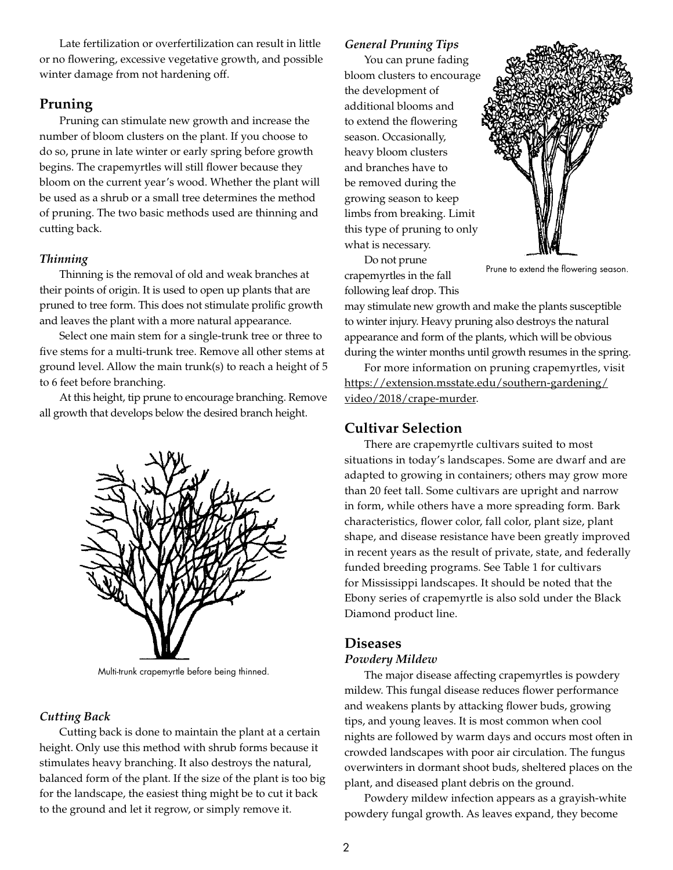Late fertilization or overfertilization can result in little or no flowering, excessive vegetative growth, and possible winter damage from not hardening off.

## **Pruning**

Pruning can stimulate new growth and increase the number of bloom clusters on the plant. If you choose to do so, prune in late winter or early spring before growth begins. The crapemyrtles will still flower because they bloom on the current year's wood. Whether the plant will be used as a shrub or a small tree determines the method of pruning. The two basic methods used are thinning and cutting back.

#### *Thinning*

Thinning is the removal of old and weak branches at their points of origin. It is used to open up plants that are pruned to tree form. This does not stimulate prolific growth and leaves the plant with a more natural appearance.

Select one main stem for a single-trunk tree or three to five stems for a multi-trunk tree. Remove all other stems at ground level. Allow the main trunk(s) to reach a height of 5 to 6 feet before branching.

At this height, tip prune to encourage branching. Remove all growth that develops below the desired branch height.



Multi-trunk crapemyrtle before being thinned.

#### *Cutting Back*

Cutting back is done to maintain the plant at a certain height. Only use this method with shrub forms because it stimulates heavy branching. It also destroys the natural, balanced form of the plant. If the size of the plant is too big for the landscape, the easiest thing might be to cut it back to the ground and let it regrow, or simply remove it.

#### *General Pruning Tips*

You can prune fading bloom clusters to encourage the development of additional blooms and to extend the flowering season. Occasionally, heavy bloom clusters and branches have to be removed during the growing season to keep limbs from breaking. Limit this type of pruning to only what is necessary.



Do not prune crapemyrtles in the fall following leaf drop. This

Prune to extend the flowering season.

may stimulate new growth and make the plants susceptible to winter injury. Heavy pruning also destroys the natural appearance and form of the plants, which will be obvious during the winter months until growth resumes in the spring.

For more information on pruning crapemyrtles, visit [https://extension.msstate.edu/southern-gardening/](https://extension.msstate.edu/southern-gardening/video/2018/crape-murder) [video/2018/crape-murder](https://extension.msstate.edu/southern-gardening/video/2018/crape-murder).

# **Cultivar Selection**

There are crapemyrtle cultivars suited to most situations in today's landscapes. Some are dwarf and are adapted to growing in containers; others may grow more than 20 feet tall. Some cultivars are upright and narrow in form, while others have a more spreading form. Bark characteristics, flower color, fall color, plant size, plant shape, and disease resistance have been greatly improved in recent years as the result of private, state, and federally funded breeding programs. See Table 1 for cultivars for Mississippi landscapes. It should be noted that the Ebony series of crapemyrtle is also sold under the Black Diamond product line.

#### **Diseases**

#### *Powdery Mildew*

The major disease affecting crapemyrtles is powdery mildew. This fungal disease reduces flower performance and weakens plants by attacking flower buds, growing tips, and young leaves. It is most common when cool nights are followed by warm days and occurs most often in crowded landscapes with poor air circulation. The fungus overwinters in dormant shoot buds, sheltered places on the plant, and diseased plant debris on the ground.

Powdery mildew infection appears as a grayish-white powdery fungal growth. As leaves expand, they become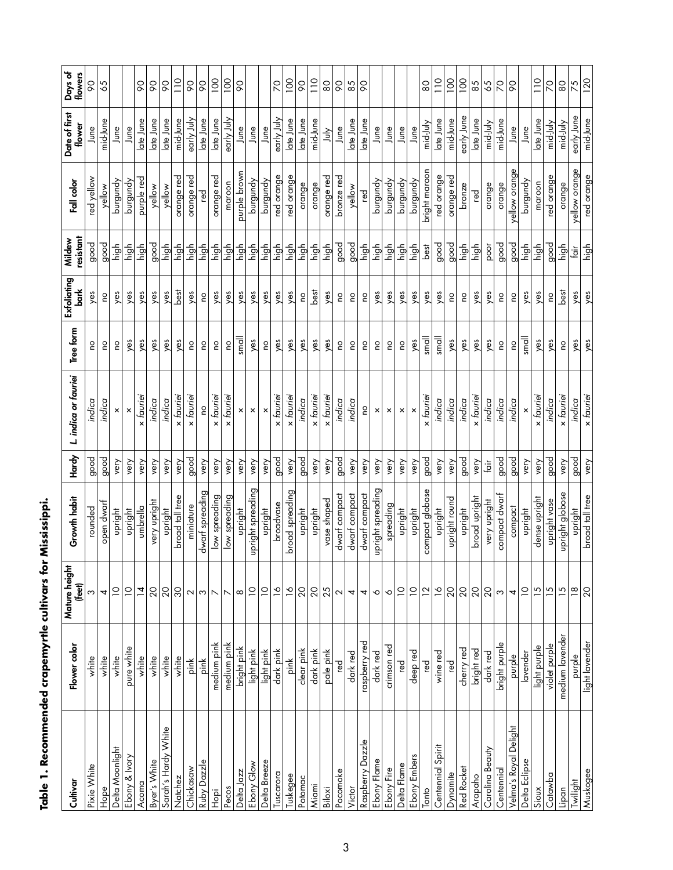| Cultivar              | Flower color    | Mature height<br>(feet)  | Growth habit      | Hardy   | L. indica or fauriei      | Tree form      | Exfoliating<br>$\frac{1}{2}$ | resistant<br>Mildew | Fall color    | Date of first<br>flower | Days of<br>flowers |
|-----------------------|-----------------|--------------------------|-------------------|---------|---------------------------|----------------|------------------------------|---------------------|---------------|-------------------------|--------------------|
| Pixie White           | white           | ω                        | rounded           | good    | indica                    | Οq             | yes                          | good                | red yellow    | June                    | 8                  |
| Hope                  | white           | 4                        | open dwar         | good    | indica                    | ou             | o                            | good                | yellow        | mid-June                | 65                 |
| Delta Moonlight       | white           | $\supseteq$              | upright           | very    | ×                         | o              | yes                          | high                | burgundy      | June                    |                    |
| Ebony & Ivory         | pure white      | $\overline{C}$           | upright           | very    |                           | yes            | yes                          | high                | burgundy      | June                    |                    |
| Acoma                 | white           | $\overline{4}$           | umbrella          | very    | x fauriei                 | yes            | yes                          | high                | purple red    | late June               | $\infty$           |
| Byer's White          | white           | 20                       | hqiidh Alex       | very    | indica                    | yes            | yes                          | good                | yellow        | late June               | œ                  |
| Sarah's Hardy White   | white           | $\overline{c}$           | upright           | very    | indica                    | yes            | yes                          | high                | yellow        | late June               | $\infty$           |
| Natchez               | white           | $\overline{3}$           | broad tall tree   | very    | x fauriei                 | yes            | best                         | high                | orange red    | mid-June                | $\frac{1}{2}$      |
| Chickasaw             | pink            | $\sim$                   | miniature         | good    | fauriei<br>$\times$       | 0u             | yes                          | high                | orange red    | early July              | $\infty$           |
| Ruby Dazzle           | pink            | $ \omega $ r $ \sim$     | dwarf spreading   | yery    | <b>O</b>                  | $\overline{c}$ | $\frac{0}{1}$                | high                | red           | late June               | $\infty$           |
| Topi                  | medium pink     |                          | low spreading     | very    | fauriei<br>$\pmb{\times}$ | $\frac{0}{2}$  | yes                          | high                | orange red    | late June               | 100                |
| Pecos                 | medium pink     |                          | low spreading     | very    | fauriei<br>$\times$       | $\frac{0}{1}$  | yes                          | high                | maroon        | early July              | 100                |
| Delta Jazz            | bright pink     | $\infty$                 | upright           | very    | ×                         | small          | yes                          | high                | purple brow   | June                    | 8                  |
| Ebony Glow            | light pink      | $\supseteq$              | upright spreading | very    | ×                         | yes            | yes                          | high                | burgundy      | June                    |                    |
| Delta Breeze          | light pink      | $\overline{C}$           | upright           | very    | ×                         | $\frac{0}{1}$  | yes                          | high                | burgundy      | June                    |                    |
| Tuscarora             | dark pink       | $\overline{6}$           | broadvase         | good    | x fauriei                 | yes            | yes                          | high                | red orange    | early July              | $\overline{C}$     |
| Tuskegee              | pink            | $\overline{\phantom{a}}$ | broad spreading   | very    | x fauriei                 | yes            | yes                          | high                | red orange    | late June               | $\overline{100}$   |
| Potomac               | clear pink      | 20                       | upright           | good    | indica                    | yes            | $\overline{c}$               | high                | orange        | late June               | 90                 |
| Miami                 | dark pink       | $\overline{20}$          | upright           | very    | x tauriei                 | yes            | best                         | high                | orange        | mid-June                | $\frac{1}{10}$     |
| Biloxi                | pale pink       | 25                       | vase shaped       | very    | x faurie.                 | yes            | yes                          | high                | orange red    | 与                       | $\infty$           |
| Pocomoke              | red             | $\sim$                   | dwarf compact     | good    | indica                    | 0u             | 0u                           | good                | bronze red    | June                    | $\infty$           |
| Victor                | dark red        | 4                        | dwarf compact     | very    | indica                    | 0u             | 0u                           | good                | yellow        | late June               | 85                 |
| Raspberry Dazzle      | raspberry red   | 4                        | dwarf compact     | very    | 0q                        | o              | 0u                           | high                | red           | late June               | 8                  |
| Ebony Flame           | dark red        | $\mathbf{\hat{O}}$       | upright spreading | very    | ×                         | ρq             | yes                          | high                | burgundy      | June                    |                    |
| Ebony Fire            | crimson red     | ♦                        | spreading         | very    | ×                         | o              | yes                          | high                | purgundy      | June                    |                    |
| Delta Flame           | ٦eg             | $\overline{a}$           | upright           | very    | $\times$                  | 0u             | yes                          | high                | burgundy      | June                    |                    |
| Ebony Embers          | deep red        | $\overline{C}$           | upright           | very    |                           | yes            | yes                          | high                | burgundy      | June                    |                    |
| Tonto                 | red             | $\overline{12}$          | compact globose   | good    | x fauriei                 | small          | yes                          | best                | bright maroon | mid-July                | 80                 |
| Spirit<br>Centennial  | wine red        | $\overline{6}$           | upright           | very    | indica                    | small          | yes                          | good                | red orange    | late June               | $\frac{1}{2}$      |
| Dynamite              | ٦eg             | 20                       | upright round     | very    | indica                    | yes            | <b>DO</b>                    | good                | orange red    | mid-June                | $\overline{0}$     |
| Red Rocket            | cherry red      | $\overline{20}$          | upright           | good    | indica                    | yes            | $\frac{0}{2}$                | high                | bronze        | early June              | $\overline{5}$     |
| Arapaho               | bright red      | 20                       | broad upright     | very    | x fauriei                 | yes            | yes                          | high                | red           | late June               | 85                 |
| Carolina Beauty       | dark red        | $\overline{20}$          | very upright      | $f$ oir | indica                    | yes            | yes                          | poor                | orange        | mid-July                | 59                 |
| Centennial            | bright purple   | S                        | compact dwarf     | good    | indica                    | 0u             | $\frac{0}{1}$                | good                | orange        | mid-June                | $\mathcal{R}$      |
| Velma's Royal Delight | purple          | 4                        | compact           | good    | indica                    | $\frac{0}{1}$  | 0u                           | good                | yellow orange | June                    | 8                  |
| Delta Eclipse         | lavender        | $\overline{C}$           | upright           | very    | ×                         | small          | yes                          | high                | burgundy      | June                    |                    |
| Sioux                 | light purple    | $\overline{15}$          | dense upright     | very    | x fauriei                 | yes            | yes                          | high                | maroon        | late June               | $\frac{0}{1}$      |
| Catawba               | violet purple   | $\overline{5}$           | upright vase      | good    | indica                    | yes            | 0u                           | good                | red orange    | mid-July                | $\overline{C}$     |
| Lipan                 | medium lavender | $\overline{15}$          | upright globose   | very    | x fauriei                 | 0u             | best                         | high                | orange        | mid-July                | 80                 |
| Twilight              | purple          | $\frac{\infty}{\infty}$  | upright           | good    | indica                    | yes            | yes                          | tāir                | yellow orange | early June              | 75                 |
| Muskogee              | light lavender  | 20                       | broad tall tree   | very    | x fauriei                 | yes            | yes                          | high                | red orange    | mid-June                | 120                |

# **Table 1. Recommended crapemyrtle cultivars for Mississippi.**  Table 1. Recommended crapemyrtle cultivars for Mississippi.